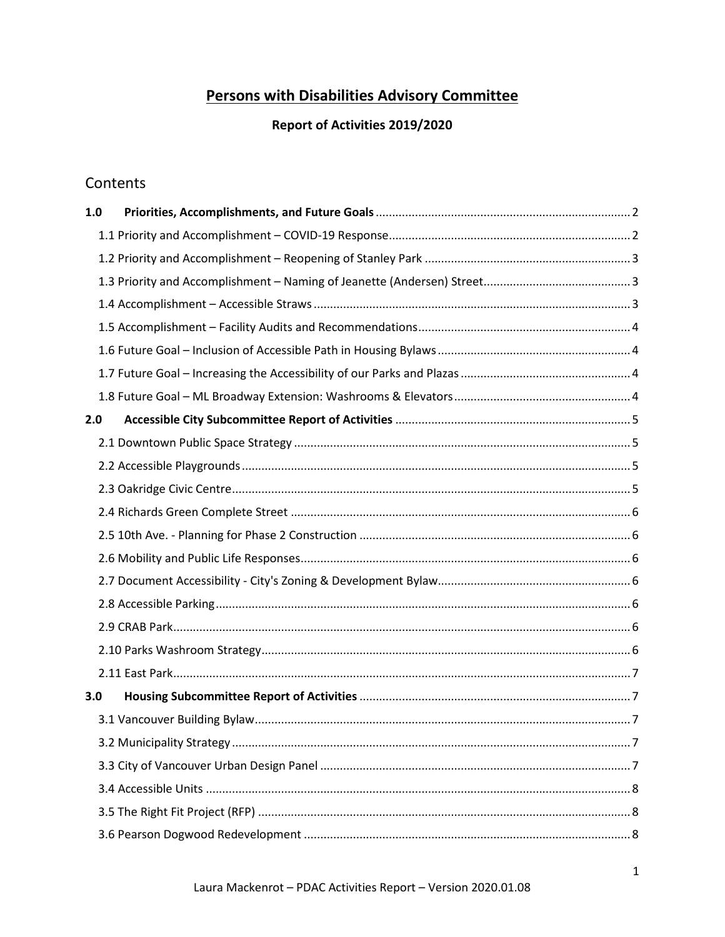## **Persons with Disabilities Advisory Committee**

## Report of Activities 2019/2020

## Contents

| 1.0 |  |
|-----|--|
|     |  |
|     |  |
|     |  |
|     |  |
|     |  |
|     |  |
|     |  |
|     |  |
| 2.0 |  |
|     |  |
|     |  |
|     |  |
|     |  |
|     |  |
|     |  |
|     |  |
|     |  |
|     |  |
|     |  |
|     |  |
| 3.0 |  |
|     |  |
|     |  |
|     |  |
|     |  |
|     |  |
|     |  |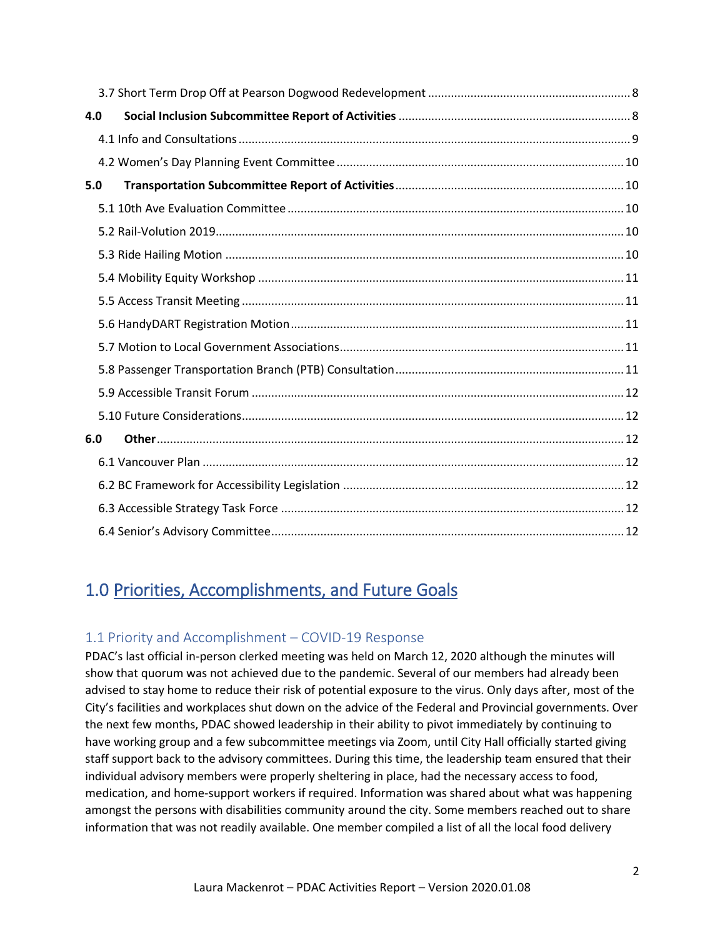| 4.0 |  |
|-----|--|
|     |  |
|     |  |
| 5.0 |  |
|     |  |
|     |  |
|     |  |
|     |  |
|     |  |
|     |  |
|     |  |
|     |  |
|     |  |
|     |  |
| 6.0 |  |
|     |  |
|     |  |
|     |  |
|     |  |

# <span id="page-1-0"></span>1.0 Priorities, Accomplishments, and Future Goals

## <span id="page-1-1"></span>1.1 Priority and Accomplishment – COVID-19 Response

PDAC's last official in-person clerked meeting was held on March 12, 2020 although the minutes will show that quorum was not achieved due to the pandemic. Several of our members had already been advised to stay home to reduce their risk of potential exposure to the virus. Only days after, most of the City's facilities and workplaces shut down on the advice of the Federal and Provincial governments. Over the next few months, PDAC showed leadership in their ability to pivot immediately by continuing to have working group and a few subcommittee meetings via Zoom, until City Hall officially started giving staff support back to the advisory committees. During this time, the leadership team ensured that their individual advisory members were properly sheltering in place, had the necessary access to food, medication, and home-support workers if required. Information was shared about what was happening amongst the persons with disabilities community around the city. Some members reached out to share information that was not readily available. One member compiled a list of all the local food delivery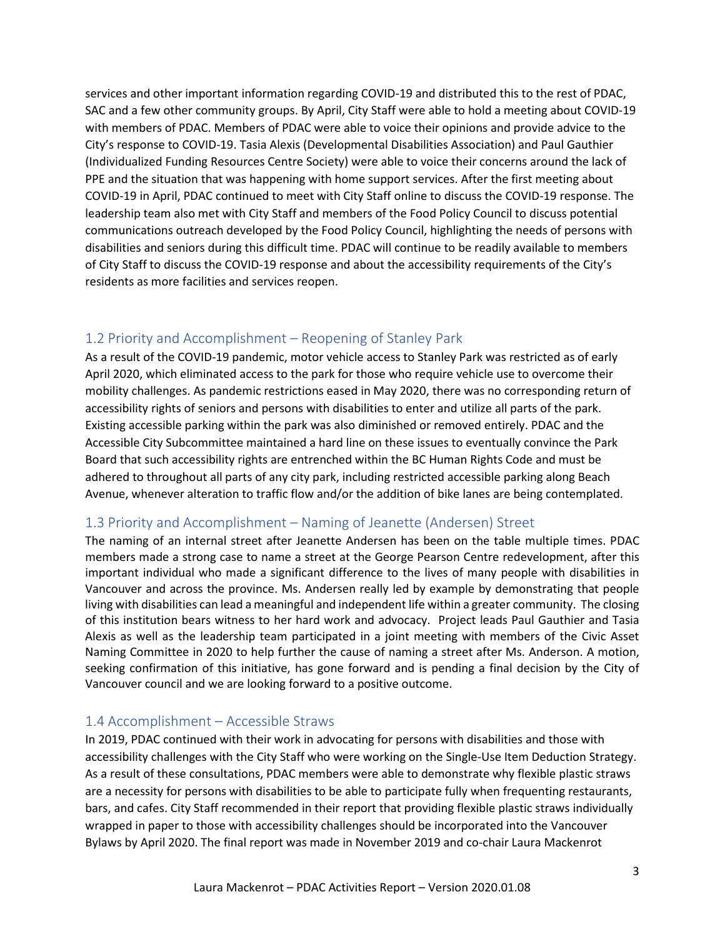services and other important information regarding COVID-19 and distributed this to the rest of PDAC, SAC and a few other community groups. By April, City Staff were able to hold a meeting about COVID-19 with members of PDAC. Members of PDAC were able to voice their opinions and provide advice to the City's response to COVID-19. Tasia Alexis (Developmental Disabilities Association) and Paul Gauthier (Individualized Funding Resources Centre Society) were able to voice their concerns around the lack of PPE and the situation that was happening with home support services. After the first meeting about COVID-19 in April, PDAC continued to meet with City Staff online to discuss the COVID-19 response. The leadership team also met with City Staff and members of the Food Policy Council to discuss potential communications outreach developed by the Food Policy Council, highlighting the needs of persons with disabilities and seniors during this difficult time. PDAC will continue to be readily available to members of City Staff to discuss the COVID-19 response and about the accessibility requirements of the City's residents as more facilities and services reopen.

## <span id="page-2-0"></span>1.2 Priority and Accomplishment – Reopening of Stanley Park

As a result of the COVID-19 pandemic, motor vehicle access to Stanley Park was restricted as of early April 2020, which eliminated access to the park for those who require vehicle use to overcome their mobility challenges. As pandemic restrictions eased in May 2020, there was no corresponding return of accessibility rights of seniors and persons with disabilities to enter and utilize all parts of the park. Existing accessible parking within the park was also diminished or removed entirely. PDAC and the Accessible City Subcommittee maintained a hard line on these issues to eventually convince the Park Board that such accessibility rights are entrenched within the BC Human Rights Code and must be adhered to throughout all parts of any city park, including restricted accessible parking along Beach Avenue, whenever alteration to traffic flow and/or the addition of bike lanes are being contemplated.

## <span id="page-2-1"></span>1.3 Priority and Accomplishment – Naming of Jeanette (Andersen) Street

The naming of an internal street after Jeanette Andersen has been on the table multiple times. PDAC members made a strong case to name a street at the George Pearson Centre redevelopment, after this important individual who made a significant difference to the lives of many people with disabilities in Vancouver and across the province. Ms. Andersen really led by example by demonstrating that people living with disabilities can lead a meaningful and independent life within a greater community. The closing of this institution bears witness to her hard work and advocacy. Project leads Paul Gauthier and Tasia Alexis as well as the leadership team participated in a joint meeting with members of the Civic Asset Naming Committee in 2020 to help further the cause of naming a street after Ms. Anderson. A motion, seeking confirmation of this initiative, has gone forward and is pending a final decision by the City of Vancouver council and we are looking forward to a positive outcome.

## <span id="page-2-2"></span>1.4 Accomplishment – Accessible Straws

In 2019, PDAC continued with their work in advocating for persons with disabilities and those with accessibility challenges with the City Staff who were working on the Single-Use Item Deduction Strategy. As a result of these consultations, PDAC members were able to demonstrate why flexible plastic straws are a necessity for persons with disabilities to be able to participate fully when frequenting restaurants, bars, and cafes. City Staff recommended in their report that providing flexible plastic straws individually wrapped in paper to those with accessibility challenges should be incorporated into the Vancouver Bylaws by April 2020. The final report was made in November 2019 and co-chair Laura Mackenrot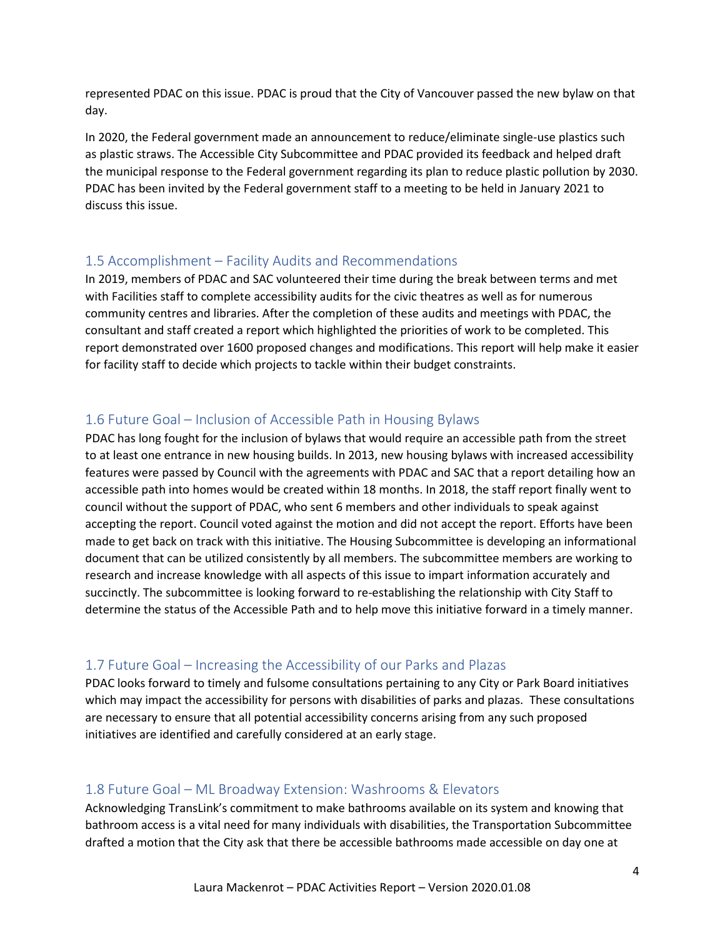represented PDAC on this issue. PDAC is proud that the City of Vancouver passed the new bylaw on that day.

In 2020, the Federal government made an announcement to reduce/eliminate single-use plastics such as plastic straws. The Accessible City Subcommittee and PDAC provided its feedback and helped draft the municipal response to the Federal government regarding its plan to reduce plastic pollution by 2030. PDAC has been invited by the Federal government staff to a meeting to be held in January 2021 to discuss this issue.

#### <span id="page-3-0"></span>1.5 Accomplishment – Facility Audits and Recommendations

In 2019, members of PDAC and SAC volunteered their time during the break between terms and met with Facilities staff to complete accessibility audits for the civic theatres as well as for numerous community centres and libraries. After the completion of these audits and meetings with PDAC, the consultant and staff created a report which highlighted the priorities of work to be completed. This report demonstrated over 1600 proposed changes and modifications. This report will help make it easier for facility staff to decide which projects to tackle within their budget constraints.

## <span id="page-3-1"></span>1.6 Future Goal – Inclusion of Accessible Path in Housing Bylaws

PDAC has long fought for the inclusion of bylaws that would require an accessible path from the street to at least one entrance in new housing builds. In 2013, new housing bylaws with increased accessibility features were passed by Council with the agreements with PDAC and SAC that a report detailing how an accessible path into homes would be created within 18 months. In 2018, the staff report finally went to council without the support of PDAC, who sent 6 members and other individuals to speak against accepting the report. Council voted against the motion and did not accept the report. Efforts have been made to get back on track with this initiative. The Housing Subcommittee is developing an informational document that can be utilized consistently by all members. The subcommittee members are working to research and increase knowledge with all aspects of this issue to impart information accurately and succinctly. The subcommittee is looking forward to re-establishing the relationship with City Staff to determine the status of the Accessible Path and to help move this initiative forward in a timely manner.

#### <span id="page-3-2"></span>1.7 Future Goal – Increasing the Accessibility of our Parks and Plazas

PDAC looks forward to timely and fulsome consultations pertaining to any City or Park Board initiatives which may impact the accessibility for persons with disabilities of parks and plazas. These consultations are necessary to ensure that all potential accessibility concerns arising from any such proposed initiatives are identified and carefully considered at an early stage.

#### <span id="page-3-3"></span>1.8 Future Goal – ML Broadway Extension: Washrooms & Elevators

Acknowledging TransLink's commitment to make bathrooms available on its system and knowing that bathroom access is a vital need for many individuals with disabilities, the Transportation Subcommittee drafted a motion that the City ask that there be accessible bathrooms made accessible on day one at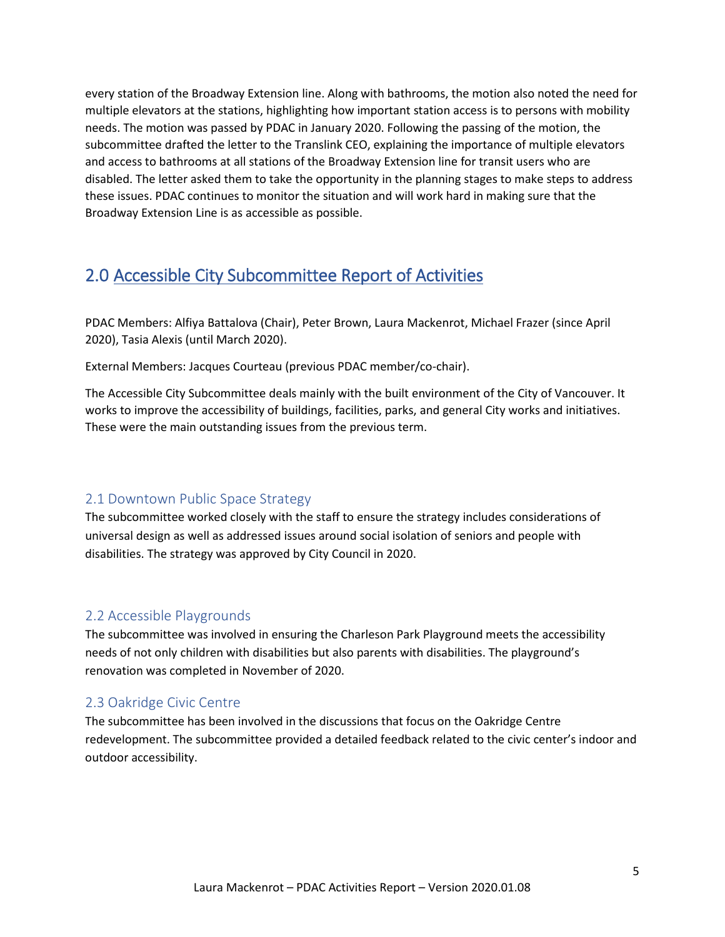every station of the Broadway Extension line. Along with bathrooms, the motion also noted the need for multiple elevators at the stations, highlighting how important station access is to persons with mobility needs. The motion was passed by PDAC in January 2020. Following the passing of the motion, the subcommittee drafted the letter to the Translink CEO, explaining the importance of multiple elevators and access to bathrooms at all stations of the Broadway Extension line for transit users who are disabled. The letter asked them to take the opportunity in the planning stages to make steps to address these issues. PDAC continues to monitor the situation and will work hard in making sure that the Broadway Extension Line is as accessible as possible.

## <span id="page-4-0"></span>2.0 Accessible City Subcommittee Report of Activities

PDAC Members: Alfiya Battalova (Chair), Peter Brown, Laura Mackenrot, Michael Frazer (since April 2020), Tasia Alexis (until March 2020).

External Members: Jacques Courteau (previous PDAC member/co-chair).

The Accessible City Subcommittee deals mainly with the built environment of the City of Vancouver. It works to improve the accessibility of buildings, facilities, parks, and general City works and initiatives. These were the main outstanding issues from the previous term.

## <span id="page-4-1"></span>2.1 Downtown Public Space Strategy

The subcommittee worked closely with the staff to ensure the strategy includes considerations of universal design as well as addressed issues around social isolation of seniors and people with disabilities. The strategy was approved by City Council in 2020.

## <span id="page-4-2"></span>2.2 Accessible Playgrounds

The subcommittee was involved in ensuring the Charleson Park Playground meets the accessibility needs of not only children with disabilities but also parents with disabilities. The playground's renovation was completed in November of 2020.

## <span id="page-4-3"></span>2.3 Oakridge Civic Centre

The subcommittee has been involved in the discussions that focus on the Oakridge Centre redevelopment. The subcommittee provided a detailed feedback related to the civic center's indoor and outdoor accessibility.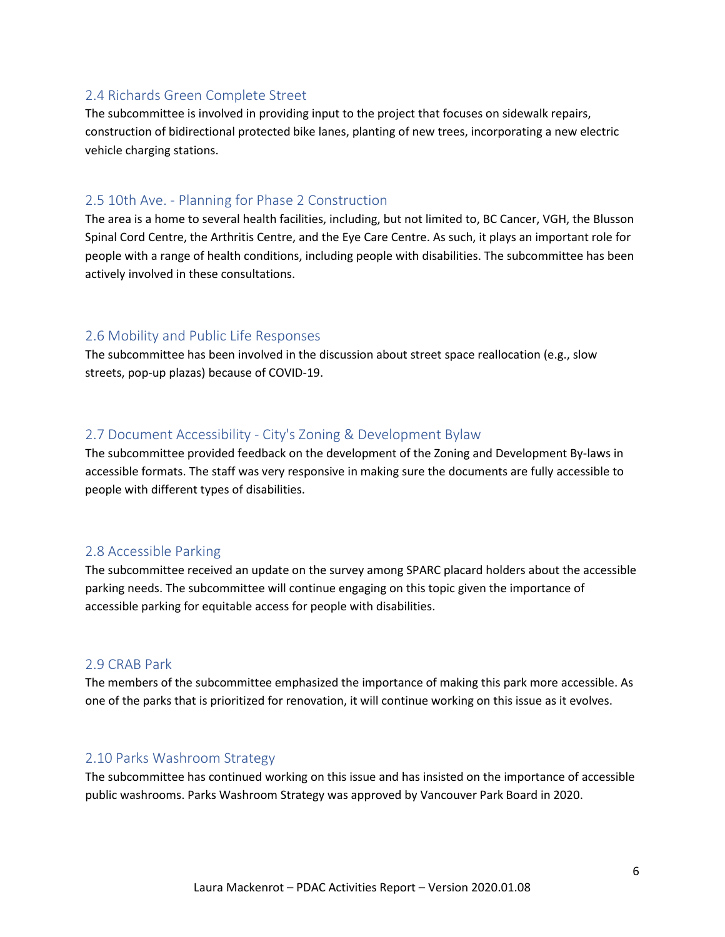#### <span id="page-5-0"></span>2.4 Richards Green Complete Street

The subcommittee is involved in providing input to the project that focuses on sidewalk repairs, construction of bidirectional protected bike lanes, planting of new trees, incorporating a new electric vehicle charging stations.

## <span id="page-5-1"></span>2.5 10th Ave. - Planning for Phase 2 Construction

The area is a home to several health facilities, including, but not limited to, BC Cancer, VGH, the Blusson Spinal Cord Centre, the Arthritis Centre, and the Eye Care Centre. As such, it plays an important role for people with a range of health conditions, including people with disabilities. The subcommittee has been actively involved in these consultations.

## <span id="page-5-2"></span>2.6 Mobility and Public Life Responses

The subcommittee has been involved in the discussion about street space reallocation (e.g., slow streets, pop-up plazas) because of COVID-19.

## <span id="page-5-3"></span>2.7 Document Accessibility - City's Zoning & Development Bylaw

The subcommittee provided feedback on the development of the Zoning and Development By-laws in accessible formats. The staff was very responsive in making sure the documents are fully accessible to people with different types of disabilities.

#### <span id="page-5-4"></span>2.8 Accessible Parking

The subcommittee received an update on the survey among SPARC placard holders about the accessible parking needs. The subcommittee will continue engaging on this topic given the importance of accessible parking for equitable access for people with disabilities.

#### <span id="page-5-5"></span>2.9 CRAB Park

The members of the subcommittee emphasized the importance of making this park more accessible. As one of the parks that is prioritized for renovation, it will continue working on this issue as it evolves.

#### <span id="page-5-6"></span>2.10 Parks Washroom Strategy

The subcommittee has continued working on this issue and has insisted on the importance of accessible public washrooms. Parks [Washroom](https://parkboardmeetings.vancouver.ca/2020/20201102/REPORT-ParksWashroomStrategy-20201102.pdf) Strategy was approved by Vancouver Park Board in 2020.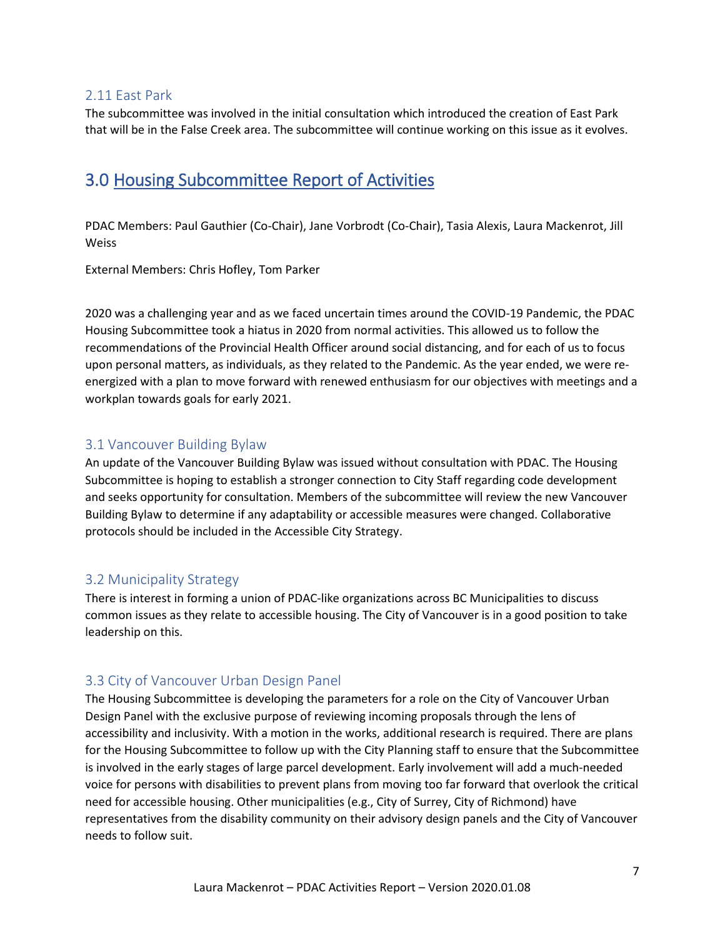## <span id="page-6-0"></span>2.11 East Park

The subcommittee was involved in the initial consultation which introduced the creation of East Park that will be in the False Creek area. The subcommittee will continue working on this issue as it evolves.

## <span id="page-6-1"></span>3.0 Housing Subcommittee Report of Activities

PDAC Members: Paul Gauthier (Co-Chair), Jane Vorbrodt (Co-Chair), Tasia Alexis, Laura Mackenrot, Jill Weiss

External Members: Chris Hofley, Tom Parker

2020 was a challenging year and as we faced uncertain times around the COVID-19 Pandemic, the PDAC Housing Subcommittee took a hiatus in 2020 from normal activities. This allowed us to follow the recommendations of the Provincial Health Officer around social distancing, and for each of us to focus upon personal matters, as individuals, as they related to the Pandemic. As the year ended, we were reenergized with a plan to move forward with renewed enthusiasm for our objectives with meetings and a workplan towards goals for early 2021.

## <span id="page-6-2"></span>3.1 Vancouver Building Bylaw

An update of the Vancouver Building Bylaw was issued without consultation with PDAC. The Housing Subcommittee is hoping to establish a stronger connection to City Staff regarding code development and seeks opportunity for consultation. Members of the subcommittee will review the new Vancouver Building Bylaw to determine if any adaptability or accessible measures were changed. Collaborative protocols should be included in the Accessible City Strategy.

## <span id="page-6-3"></span>3.2 Municipality Strategy

There is interest in forming a union of PDAC-like organizations across BC Municipalities to discuss common issues as they relate to accessible housing. The City of Vancouver is in a good position to take leadership on this.

## <span id="page-6-4"></span>3.3 City of Vancouver Urban Design Panel

The Housing Subcommittee is developing the parameters for a role on the City of Vancouver Urban Design Panel with the exclusive purpose of reviewing incoming proposals through the lens of accessibility and inclusivity. With a motion in the works, additional research is required. There are plans for the Housing Subcommittee to follow up with the City Planning staff to ensure that the Subcommittee is involved in the early stages of large parcel development. Early involvement will add a much-needed voice for persons with disabilities to prevent plans from moving too far forward that overlook the critical need for accessible housing. Other municipalities (e.g., City of Surrey, City of Richmond) have representatives from the disability community on their advisory design panels and the City of Vancouver needs to follow suit.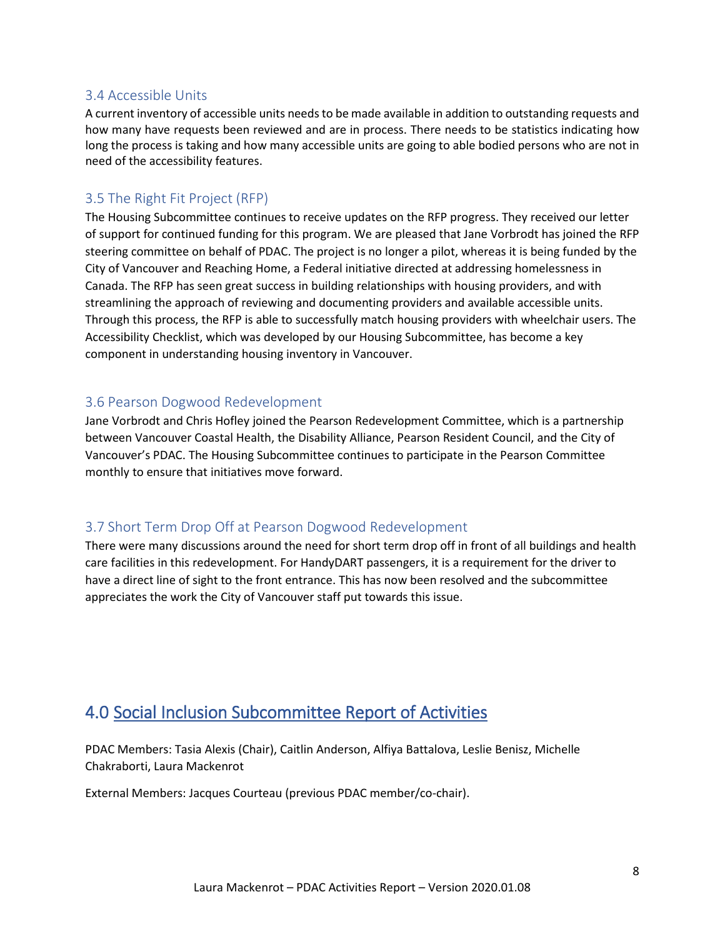## <span id="page-7-0"></span>3.4 Accessible Units

A current inventory of accessible units needs to be made available in addition to outstanding requests and how many have requests been reviewed and are in process. There needs to be statistics indicating how long the process is taking and how many accessible units are going to able bodied persons who are not in need of the accessibility features.

## <span id="page-7-1"></span>3.5 The Right Fit Project (RFP)

The Housing Subcommittee continues to receive updates on the RFP progress. They received our letter of support for continued funding for this program. We are pleased that Jane Vorbrodt has joined the RFP steering committee on behalf of PDAC. The project is no longer a pilot, whereas it is being funded by the City of Vancouver and Reaching Home, a Federal initiative directed at addressing homelessness in Canada. The RFP has seen great success in building relationships with housing providers, and with streamlining the approach of reviewing and documenting providers and available accessible units. Through this process, the RFP is able to successfully match housing providers with wheelchair users. The Accessibility Checklist, which was developed by our Housing Subcommittee, has become a key component in understanding housing inventory in Vancouver.

## <span id="page-7-2"></span>3.6 Pearson Dogwood Redevelopment

Jane Vorbrodt and Chris Hofley joined the Pearson Redevelopment Committee, which is a partnership between Vancouver Coastal Health, the Disability Alliance, Pearson Resident Council, and the City of Vancouver's PDAC. The Housing Subcommittee continues to participate in the Pearson Committee monthly to ensure that initiatives move forward.

## <span id="page-7-3"></span>3.7 Short Term Drop Off at Pearson Dogwood Redevelopment

There were many discussions around the need for short term drop off in front of all buildings and health care facilities in this redevelopment. For HandyDART passengers, it is a requirement for the driver to have a direct line of sight to the front entrance. This has now been resolved and the subcommittee appreciates the work the City of Vancouver staff put towards this issue.

## <span id="page-7-4"></span>4.0 Social Inclusion Subcommittee Report of Activities

PDAC Members: Tasia Alexis (Chair), Caitlin Anderson, Alfiya Battalova, Leslie Benisz, Michelle Chakraborti, Laura Mackenrot

External Members: Jacques Courteau (previous PDAC member/co-chair).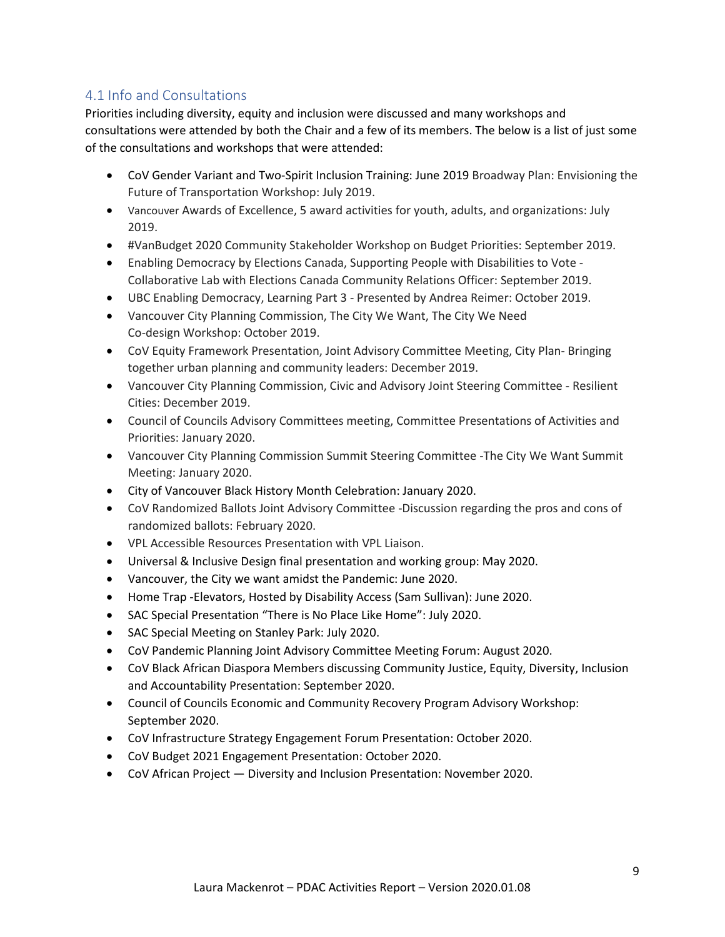## <span id="page-8-0"></span>4.1 Info and Consultations

Priorities including diversity, equity and inclusion were discussed and many workshops and consultations were attended by both the Chair and a few of its members. The below is a list of just some of the consultations and workshops that were attended:

- CoV Gender Variant and Two-Spirit Inclusion Training: June 2019 Broadway Plan: Envisioning the Future of Transportation Workshop: July 2019.
- Vancouver Awards of Excellence, 5 award activities for youth, adults, and organizations: July 2019.
- #VanBudget 2020 Community Stakeholder Workshop on Budget Priorities: September 2019.
- Enabling Democracy by Elections Canada, Supporting People with Disabilities to Vote Collaborative Lab with Elections Canada Community Relations Officer: September 2019.
- UBC Enabling Democracy, Learning Part 3 Presented by Andrea Reimer: October 2019.
- Vancouver City Planning Commission, The City We Want, The City We Need Co-design Workshop: October 2019.
- CoV Equity Framework Presentation, Joint Advisory Committee Meeting, City Plan- Bringing together urban planning and community leaders: December 2019.
- Vancouver City Planning Commission, Civic and Advisory Joint Steering Committee Resilient Cities: December 2019.
- Council of Councils Advisory Committees meeting, Committee Presentations of Activities and Priorities: January 2020.
- Vancouver City Planning Commission Summit Steering Committee -The City We Want Summit Meeting: January 2020.
- City of Vancouver Black History Month Celebration: January 2020.
- CoV Randomized Ballots Joint Advisory Committee -Discussion regarding the pros and cons of randomized ballots: February 2020.
- VPL Accessible Resources Presentation with VPL Liaison.
- Universal & Inclusive Design final presentation and working group: May 2020.
- Vancouver, the City we want amidst the Pandemic: June 2020.
- Home Trap -Elevators, Hosted by Disability Access (Sam Sullivan): June 2020.
- SAC Special Presentation "There is No Place Like Home": July 2020.
- SAC Special Meeting on Stanley Park: July 2020.
- CoV Pandemic Planning Joint Advisory Committee Meeting Forum: August 2020.
- CoV Black African Diaspora Members discussing Community Justice, Equity, Diversity, Inclusion and Accountability Presentation: September 2020.
- Council of Councils Economic and Community Recovery Program Advisory Workshop: September 2020.
- CoV Infrastructure Strategy Engagement Forum Presentation: October 2020.
- CoV Budget 2021 Engagement Presentation: October 2020.
- CoV African Project Diversity and Inclusion Presentation: November 2020.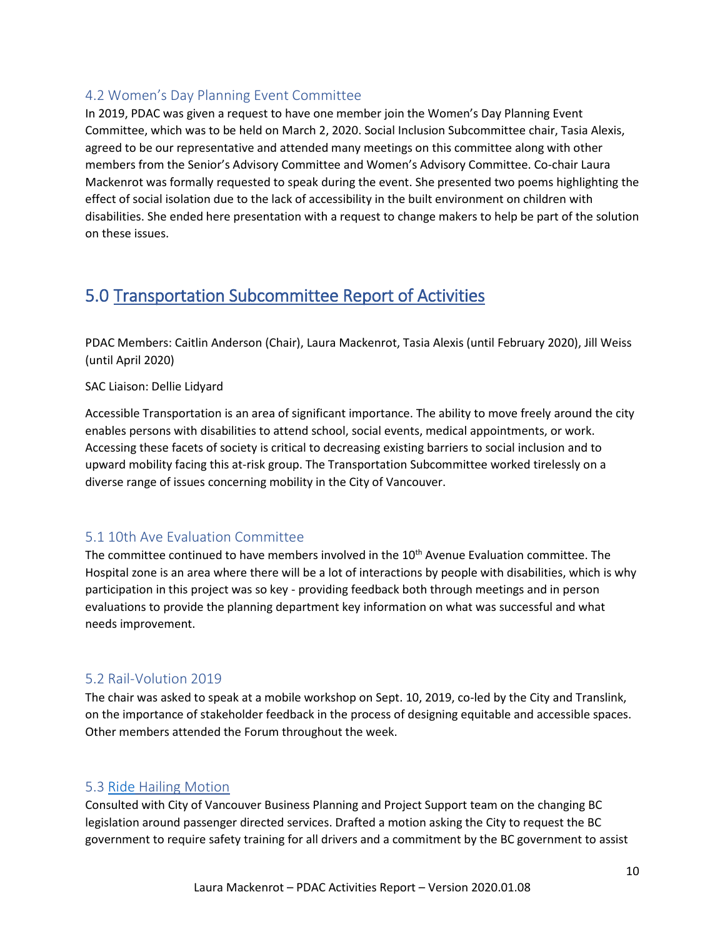## <span id="page-9-0"></span>4.2 Women's Day Planning Event Committee

In 2019, PDAC was given a request to have one member join the Women's Day Planning Event Committee, which was to be held on March 2, 2020. Social Inclusion Subcommittee chair, Tasia Alexis, agreed to be our representative and attended many meetings on this committee along with other members from the Senior's Advisory Committee and Women's Advisory Committee. Co-chair Laura Mackenrot was formally requested to speak during the event. She presented two poems highlighting the effect of social isolation due to the lack of accessibility in the built environment on children with disabilities. She ended here presentation with a request to change makers to help be part of the solution on these issues.

## <span id="page-9-1"></span>5.0 Transportation Subcommittee Report of Activities

PDAC Members: Caitlin Anderson (Chair), Laura Mackenrot, Tasia Alexis (until February 2020), Jill Weiss (until April 2020)

SAC Liaison: Dellie Lidyard

Accessible Transportation is an area of significant importance. The ability to move freely around the city enables persons with disabilities to attend school, social events, medical appointments, or work. Accessing these facets of society is critical to decreasing existing barriers to social inclusion and to upward mobility facing this at-risk group. The Transportation Subcommittee worked tirelessly on a diverse range of issues concerning mobility in the City of Vancouver.

## <span id="page-9-2"></span>5.1 10th Ave Evaluation Committee

The committee continued to have members involved in the 10<sup>th</sup> Avenue Evaluation committee. The Hospital zone is an area where there will be a lot of interactions by people with disabilities, which is why participation in this project was so key - providing feedback both through meetings and in person evaluations to provide the planning department key information on what was successful and what needs improvement.

## <span id="page-9-3"></span>5.2 Rail-Volution 2019

The chair was asked to speak at a mobile workshop on Sept. 10, 2019, co-led by the City and Translink, on the importance of stakeholder feedback in the process of designing equitable and accessible spaces. Other members attended the Forum throughout the week.

## <span id="page-9-4"></span>5.3 [Ride](file://Ride) Hailing Motion

Consulted with City of Vancouver Business Planning and Project Support team on the changing BC legislation around passenger directed services. Drafted a motion asking the City to request the BC government to require safety training for all drivers and a commitment by the BC government to assist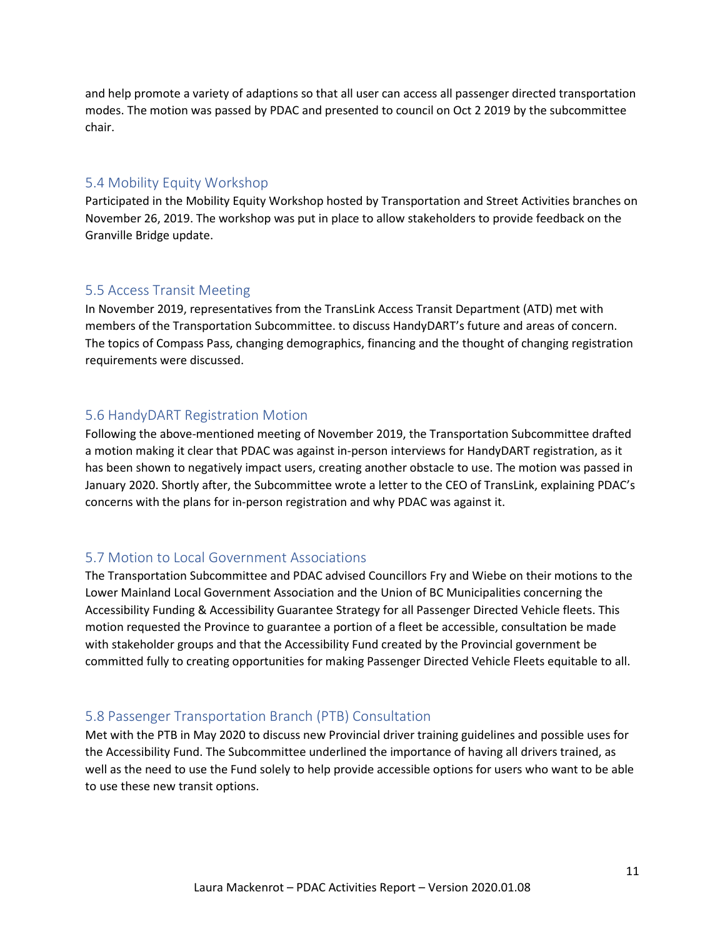and help promote a variety of adaptions so that all user can access all passenger directed transportation modes. The motion was passed by PDAC and presented to council on Oct 2 2019 by the subcommittee chair.

#### <span id="page-10-0"></span>5.4 Mobility Equity Workshop

Participated in the Mobility Equity Workshop hosted by Transportation and Street Activities branches on November 26, 2019. The workshop was put in place to allow stakeholders to provide feedback on the Granville Bridge update.

#### <span id="page-10-1"></span>5.5 Access Transit Meeting

In November 2019, representatives from the TransLink Access Transit Department (ATD) met with members of the Transportation Subcommittee. to discuss HandyDART's future and areas of concern. The topics of Compass Pass, changing demographics, financing and the thought of changing registration requirements were discussed.

#### <span id="page-10-2"></span>5.6 HandyDART Registration Motion

Following the above-mentioned meeting of November 2019, the Transportation Subcommittee drafted a motion making it clear that PDAC was against in-person interviews for HandyDART registration, as it has been shown to negatively impact users, creating another obstacle to use. The motion was passed in January 2020. Shortly after, the Subcommittee wrote a letter to the CEO of TransLink, explaining PDAC's concerns with the plans for in-person registration and why PDAC was against it.

#### <span id="page-10-3"></span>5.7 Motion to Local Government Associations

The Transportation Subcommittee and PDAC advised Councillors Fry and Wiebe on their motions to the Lower Mainland Local Government Association and the Union of BC Municipalities concerning the Accessibility Funding & Accessibility Guarantee Strategy for all Passenger Directed Vehicle fleets. This motion requested the Province to guarantee a portion of a fleet be accessible, consultation be made with stakeholder groups and that the Accessibility Fund created by the Provincial government be committed fully to creating opportunities for making Passenger Directed Vehicle Fleets equitable to all.

#### <span id="page-10-4"></span>5.8 Passenger Transportation Branch (PTB) Consultation

Met with the PTB in May 2020 to discuss new Provincial driver training guidelines and possible uses for the Accessibility Fund. The Subcommittee underlined the importance of having all drivers trained, as well as the need to use the Fund solely to help provide accessible options for users who want to be able to use these new transit options.